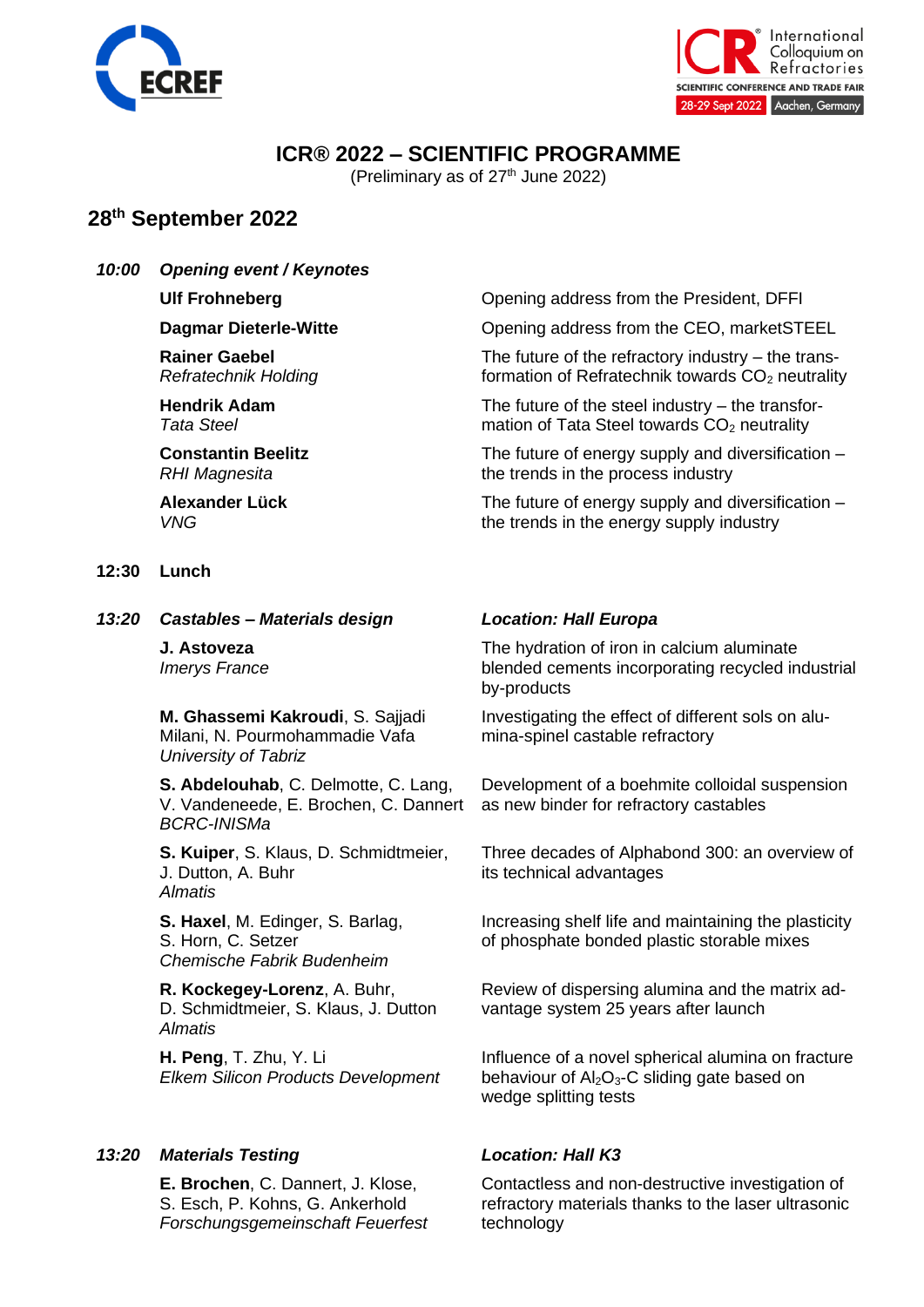



# **ICR® 2022 – SCIENTIFIC PROGRAMME**

(Preliminary as of  $27<sup>th</sup>$  June 2022)

# **28th September 2022**

### *10:00 Opening event / Keynotes*

**Rainer Gaebel** *Refratechnik Holding*

**Hendrik Adam** *Tata Steel*

**Constantin Beelitz** *RHI Magnesita*

**Alexander Lück** *VNG*

### **12:30 Lunch**

*13:20 Castables – Materials design Location: Hall Europa*

**J. Astoveza** *Imerys France*

**M. Ghassemi Kakroudi**, S. Sajjadi Milani, N. Pourmohammadie Vafa *University of Tabriz*

**S. Abdelouhab**, C. Delmotte, C. Lang, V. Vandeneede, E. Brochen, C. Dannert *BCRC-INISMa*

**S. Kuiper**, S. Klaus, D. Schmidtmeier, J. Dutton, A. Buhr *Almatis*

**S. Haxel**, M. Edinger, S. Barlag, S. Horn, C. Setzer *Chemische Fabrik Budenheim*

**R. Kockegey-Lorenz**, A. Buhr, D. Schmidtmeier, S. Klaus, J. Dutton *Almatis*

**H. Peng**, T. Zhu, Y. Li *Elkem Silicon Products Development*

## *13:20 Materials Testing Location: Hall K3*

**E. Brochen**, C. Dannert, J. Klose, S. Esch, P. Kohns, G. Ankerhold *Forschungsgemeinschaft Feuerfest*

**Ulf Frohneberg Opening address from the President, DFFI** 

**Dagmar Dieterle-Witte CEO, marketSTEEL Opening address from the CEO, marketSTEEL** 

The future of the refractory industry – the transformation of Refratechnik towards  $CO<sub>2</sub>$  neutrality

The future of the steel industry – the transformation of Tata Steel towards  $CO<sub>2</sub>$  neutrality

The future of energy supply and diversification – the trends in the process industry

The future of energy supply and diversification – the trends in the energy supply industry

The hydration of iron in calcium aluminate blended cements incorporating recycled industrial by-products

Investigating the effect of different sols on alumina-spinel castable refractory

Development of a boehmite colloidal suspension as new binder for refractory castables

Three decades of Alphabond 300: an overview of its technical advantages

Increasing shelf life and maintaining the plasticity of phosphate bonded plastic storable mixes

Review of dispersing alumina and the matrix advantage system 25 years after launch

Influence of a novel spherical alumina on fracture behaviour of  $Al_2O_3$ -C sliding gate based on wedge splitting tests

Contactless and non-destructive investigation of refractory materials thanks to the laser ultrasonic technology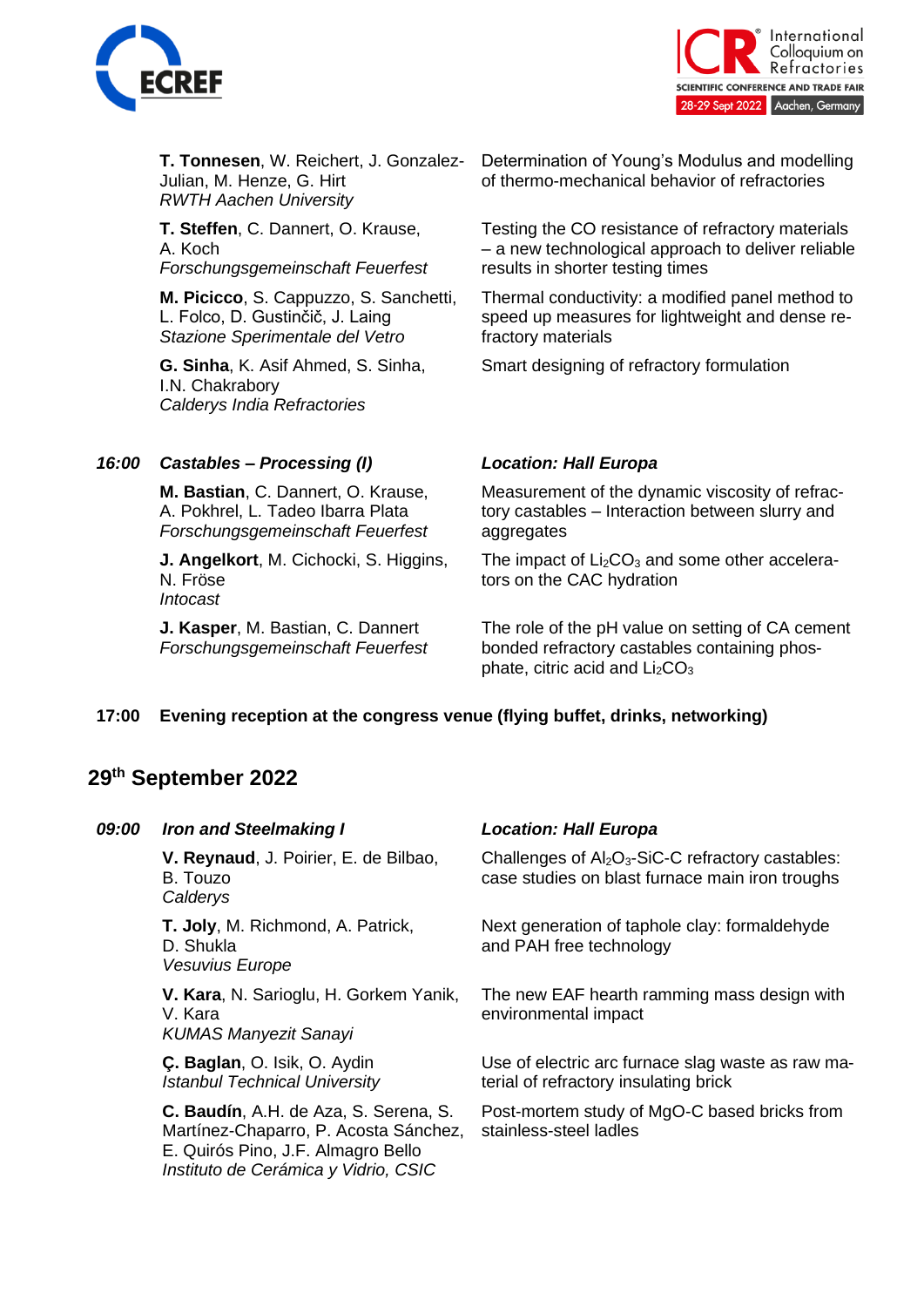



**T. Tonnesen**, W. Reichert, J. Gonzalez-Julian, M. Henze, G. Hirt *RWTH Aachen University*

**T. Steffen**, C. Dannert, O. Krause, A. Koch *Forschungsgemeinschaft Feuerfest*

**M. Picicco**, S. Cappuzzo, S. Sanchetti, L. Folco, D. Gustinčič, J. Laing *Stazione Sperimentale del Vetro*

**G. Sinha**, K. Asif Ahmed, S. Sinha, I.N. Chakrabory *Calderys India Refractories*

Determination of Young's Modulus and modelling of thermo-mechanical behavior of refractories

Testing the CO resistance of refractory materials – a new technological approach to deliver reliable results in shorter testing times

Thermal conductivity: a modified panel method to speed up measures for lightweight and dense refractory materials

Smart designing of refractory formulation

# *16:00 Castables – Processing (I) Location: Hall Europa*

**M. Bastian**, C. Dannert, O. Krause, A. Pokhrel, L. Tadeo Ibarra Plata *Forschungsgemeinschaft Feuerfest*

**J. Angelkort**, M. Cichocki, S. Higgins, N. Fröse *Intocast*

**J. Kasper**, M. Bastian, C. Dannert *Forschungsgemeinschaft Feuerfest*

Measurement of the dynamic viscosity of refractory castables – Interaction between slurry and aggregates

The impact of  $Li<sub>2</sub>CO<sub>3</sub>$  and some other accelerators on the CAC hydration

The role of the pH value on setting of CA cement bonded refractory castables containing phosphate, citric acid and  $Li<sub>2</sub>CO<sub>3</sub>$ 

## **17:00 Evening reception at the congress venue (flying buffet, drinks, networking)**

# **29th September 2022**

| 09:00 | <b>Iron and Steelmaking I</b>                                                                                                                                | <b>Location: Hall Europa</b>                                                                                                 |
|-------|--------------------------------------------------------------------------------------------------------------------------------------------------------------|------------------------------------------------------------------------------------------------------------------------------|
|       | V. Reynaud, J. Poirier, E. de Bilbao,<br>B. Touzo<br>Calderys                                                                                                | Challenges of Al <sub>2</sub> O <sub>3</sub> -SiC-C refractory castables:<br>case studies on blast furnace main iron troughs |
|       | T. Joly, M. Richmond, A. Patrick,<br>D. Shukla<br><b>Vesuvius Europe</b>                                                                                     | Next generation of taphole clay: formaldehyde<br>and PAH free technology                                                     |
|       | V. Kara, N. Sarioglu, H. Gorkem Yanik,<br>V. Kara<br><b>KUMAS Manyezit Sanayi</b>                                                                            | The new EAF hearth ramming mass design with<br>environmental impact                                                          |
|       | C. Baglan, O. Isik, O. Aydin<br><b>Istanbul Technical University</b>                                                                                         | Use of electric arc furnace slag waste as raw ma-<br>terial of refractory insulating brick                                   |
|       | C. Baudín, A.H. de Aza, S. Serena, S.<br>Martínez-Chaparro, P. Acosta Sánchez,<br>E. Quirós Pino, J.F. Almagro Bello<br>Instituto de Cerámica y Vidrio, CSIC | Post-mortem study of MgO-C based bricks from<br>stainless-steel ladles                                                       |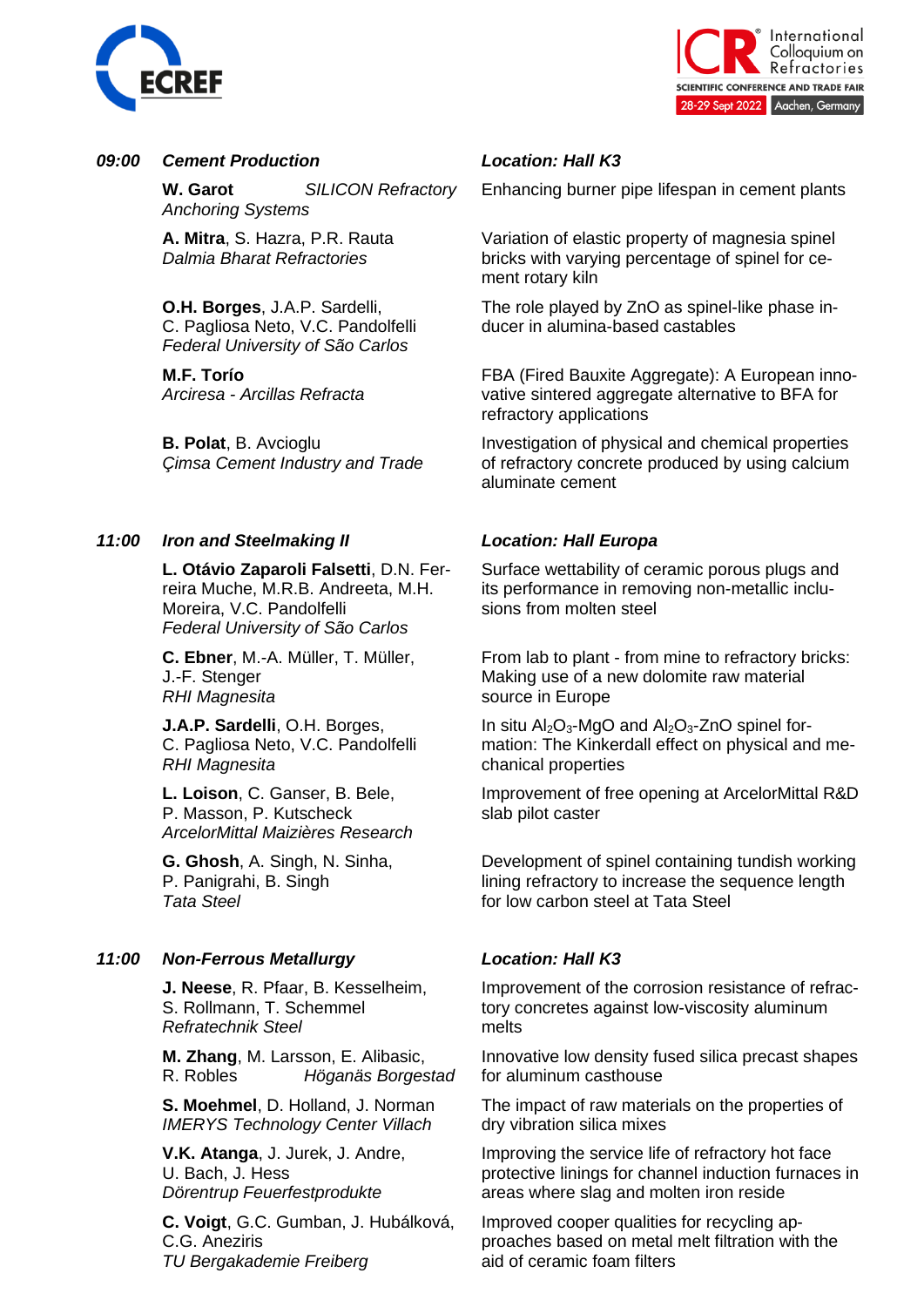



## *09:00 Cement Production Location: Hall K3*

**W. Garot** *SILICON Refractory Anchoring Systems*

**A. Mitra**, S. Hazra, P.R. Rauta *Dalmia Bharat Refractories*

**O.H. Borges**, J.A.P. Sardelli, C. Pagliosa Neto, V.C. Pandolfelli *Federal University of São Carlos*

**M.F. Torío** *Arciresa - Arcillas Refracta*

**B. Polat**, B. Avcioglu *Çimsa Cement Industry and Trade*

## *11:00 Iron and Steelmaking II Location: Hall Europa*

**L. Otávio Zaparoli Falsetti**, D.N. Ferreira Muche, M.R.B. Andreeta, M.H. Moreira, V.C. Pandolfelli *Federal University of São Carlos*

**C. Ebner**, M.-A. Müller, T. Müller, J.-F. Stenger *RHI Magnesita*

**J.A.P. Sardelli**, O.H. Borges, C. Pagliosa Neto, V.C. Pandolfelli *RHI Magnesita*

**L. Loison**, C. Ganser, B. Bele, P. Masson, P. Kutscheck *ArcelorMittal Maizières Research*

**G. Ghosh**, A. Singh, N. Sinha, P. Panigrahi, B. Singh *Tata Steel*

# *11:00 Non-Ferrous Metallurgy Location: Hall K3*

**J. Neese**, R. Pfaar, B. Kesselheim, S. Rollmann, T. Schemmel *Refratechnik Steel*

**M. Zhang**, M. Larsson, E. Alibasic, R. Robles *Höganäs Borgestad*

**S. Moehmel**, D. Holland, J. Norman *IMERYS Technology Center Villach*

**V.K. Atanga**, J. Jurek, J. Andre, U. Bach, J. Hess *Dörentrup Feuerfestprodukte*

**C. Voigt**, G.C. Gumban, J. Hubálková, C.G. Aneziris *TU Bergakademie Freiberg*

Enhancing burner pipe lifespan in cement plants

Variation of elastic property of magnesia spinel bricks with varying percentage of spinel for cement rotary kiln

The role played by ZnO as spinel-like phase inducer in alumina-based castables

FBA (Fired Bauxite Aggregate): A European innovative sintered aggregate alternative to BFA for refractory applications

Investigation of physical and chemical properties of refractory concrete produced by using calcium aluminate cement

Surface wettability of ceramic porous plugs and its performance in removing non-metallic inclusions from molten steel

From lab to plant - from mine to refractory bricks: Making use of a new dolomite raw material source in Europe

In situ  $Al_2O_3$ -MgO and  $Al_2O_3$ -ZnO spinel formation: The Kinkerdall effect on physical and mechanical properties

Improvement of free opening at ArcelorMittal R&D slab pilot caster

Development of spinel containing tundish working lining refractory to increase the sequence length for low carbon steel at Tata Steel

Improvement of the corrosion resistance of refractory concretes against low-viscosity aluminum melts

Innovative low density fused silica precast shapes for aluminum casthouse

The impact of raw materials on the properties of dry vibration silica mixes

Improving the service life of refractory hot face protective linings for channel induction furnaces in areas where slag and molten iron reside

Improved cooper qualities for recycling approaches based on metal melt filtration with the aid of ceramic foam filters